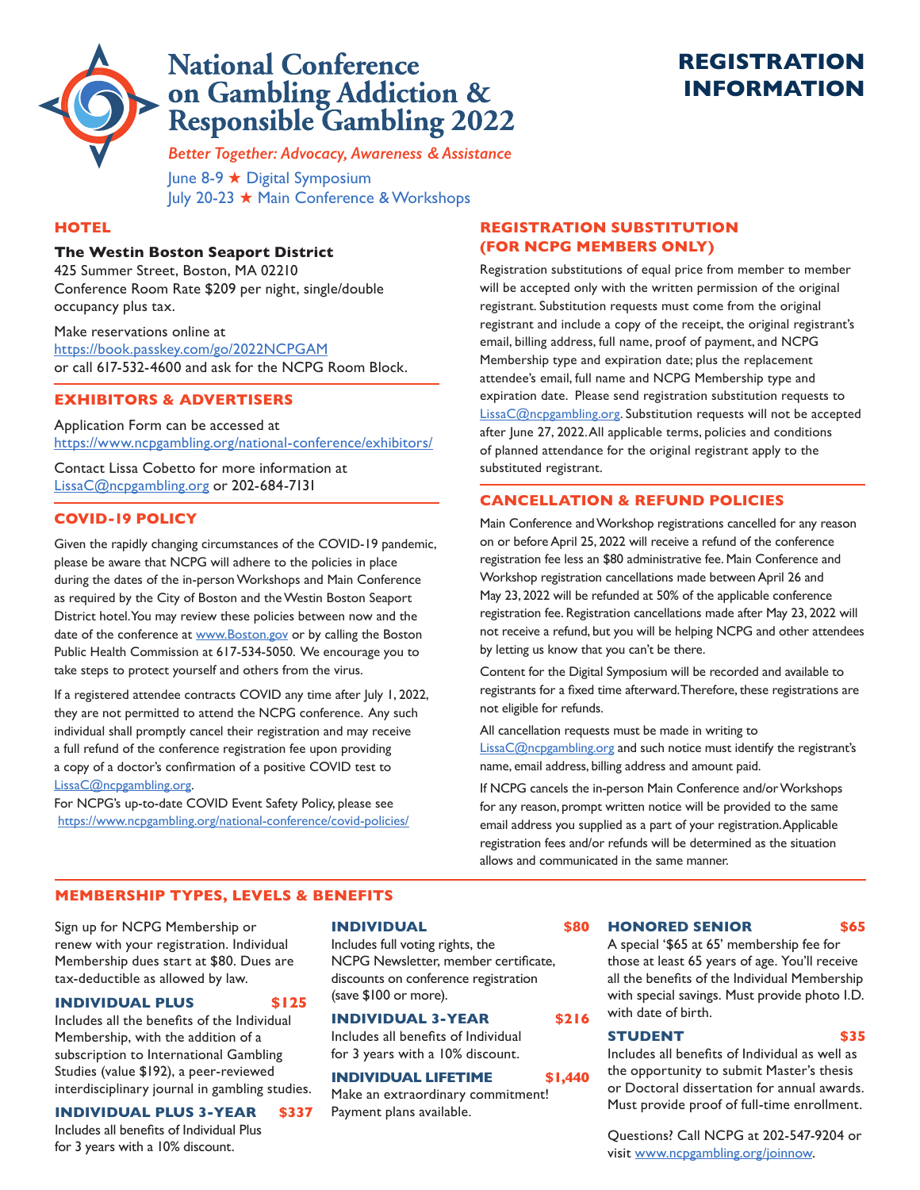

# **National Conference** on Gambling Addiction & **Responsible Gambling 2022**

# **REGISTRATION INFORMATION**

*Better Together: Advocacy, Awareness & Assistance*

June 8-9 ★ Digital Symposium July 20-23 ★ Main Conference & Workshops

### **HOTEL**

### **The Westin Boston Seaport District**

425 Summer Street, Boston, MA 02210 Conference Room Rate \$209 per night, single/double occupancy plus tax.

Make reservations online at <https://book.passkey.com/go/2022NCPGAM> or call 617-532-4600 and ask for the NCPG Room Block.

## **EXHIBITORS & ADVERTISERS**

Application Form can be accessed at https://www.ncpgambling.org/national-conference/exhibitors/

Contact Lissa Cobetto for more information at [LissaC@ncpgambling.org](mailto:LissaC@ncpgambling.org) or 202-684-7131

### **COVID-19 POLICY**

Given the rapidly changing circumstances of the COVID-19 pandemic, please be aware that NCPG will adhere to the policies in place during the dates of the in-person Workshops and Main Conference as required by the City of Boston and the Westin Boston Seaport District hotel. You may review these policies between now and the date of the conference at www.Boston.gov or by calling the Boston Public Health Commission at 617-534-5050. We encourage you to take steps to protect yourself and others from the virus.

If a registered attendee contracts COVID any time after July 1, 2022, they are not permitted to attend the NCPG conference. Any such individual shall promptly cancel their registration and may receive a full refund of the conference registration fee upon providing a copy of a doctor's confirmation of a positive COVID test to [LissaC@ncpgambling.org](mailto:LissaC@ncpgambling.org).

For NCPG's up-to-date COVID Event Safety Policy, please see <https://www.ncpgambling.org/national-conference/covid-policies/>

## **REGISTRATION SUBSTITUTION (FOR NCPG MEMBERS ONLY)**

Registration substitutions of equal price from member to member will be accepted only with the written permission of the original registrant. Substitution requests must come from the original registrant and include a copy of the receipt, the original registrant's email, billing address, full name, proof of payment, and NCPG Membership type and expiration date; plus the replacement attendee's email, full name and NCPG Membership type and expiration date. Please send registration substitution requests to [LissaC@ncpgambling.org.](mailto:LissaC@ncpgambling.org) Substitution requests will not be accepted after June 27, 2022. All applicable terms, policies and conditions of planned attendance for the original registrant apply to the substituted registrant.

## **CANCELLATION & REFUND POLICIES**

Main Conference and Workshop registrations cancelled for any reason on or before April 25, 2022 will receive a refund of the conference registration fee less an \$80 administrative fee. Main Conference and Workshop registration cancellations made between April 26 and May 23, 2022 will be refunded at 50% of the applicable conference registration fee. Registration cancellations made after May 23, 2022 will not receive a refund, but you will be helping NCPG and other attendees by letting us know that you can't be there.

Content for the Digital Symposium will be recorded and available to registrants for a fixed time afterward. Therefore, these registrations are not eligible for refunds.

All cancellation requests must be made in writing to LissaC@ncpgambling.org and such notice must identify the registrant's name, email address, billing address and amount paid.

If NCPG cancels the in-person Main Conference and/or Workshops for any reason, prompt written notice will be provided to the same email address you supplied as a part of your registration. Applicable registration fees and/or refunds will be determined as the situation allows and communicated in the same manner.

### **MEMBERSHIP TYPES, LEVELS & BENEFITS**

Sign up for NCPG Membership or renew with your registration. Individual Membership dues start at \$80. Dues are tax-deductible as allowed by law.

### **INDIVIDUAL PLUS \$125**

Includes all the benefits of the Individual Membership, with the addition of a subscription to International Gambling Studies (value \$192), a peer-reviewed interdisciplinary journal in gambling studies.

## **INDIVIDUAL PLUS 3-YEAR \$337**

Includes all benefits of Individual Plus for 3 years with a 10% discount.

### **INDIVIDUAL \$80**

Includes full voting rights, the NCPG Newsletter, member certificate, discounts on conference registration (save \$100 or more).

### **INDIVIDUAL 3-YEAR \$216**

Includes all benefits of Individual for 3 years with a 10% discount.

### **INDIVIDUAL LIFETIME \$1,440**

Make an extraordinary commitment! Payment plans available.

#### **HONORED SENIOR \$65**

A special '\$65 at 65' membership fee for those at least 65 years of age. You'll receive all the benefits of the Individual Membership with special savings. Must provide photo I.D. with date of birth.

### **STUDENT \$35**

Includes all benefits of Individual as well as the opportunity to submit Master's thesis or Doctoral dissertation for annual awards. Must provide proof of full-time enrollment.

Questions? Call NCPG at 202-547-9204 or visit [www.ncpgambling.org/joinnow.](www.ncpgambling.org/joinnow)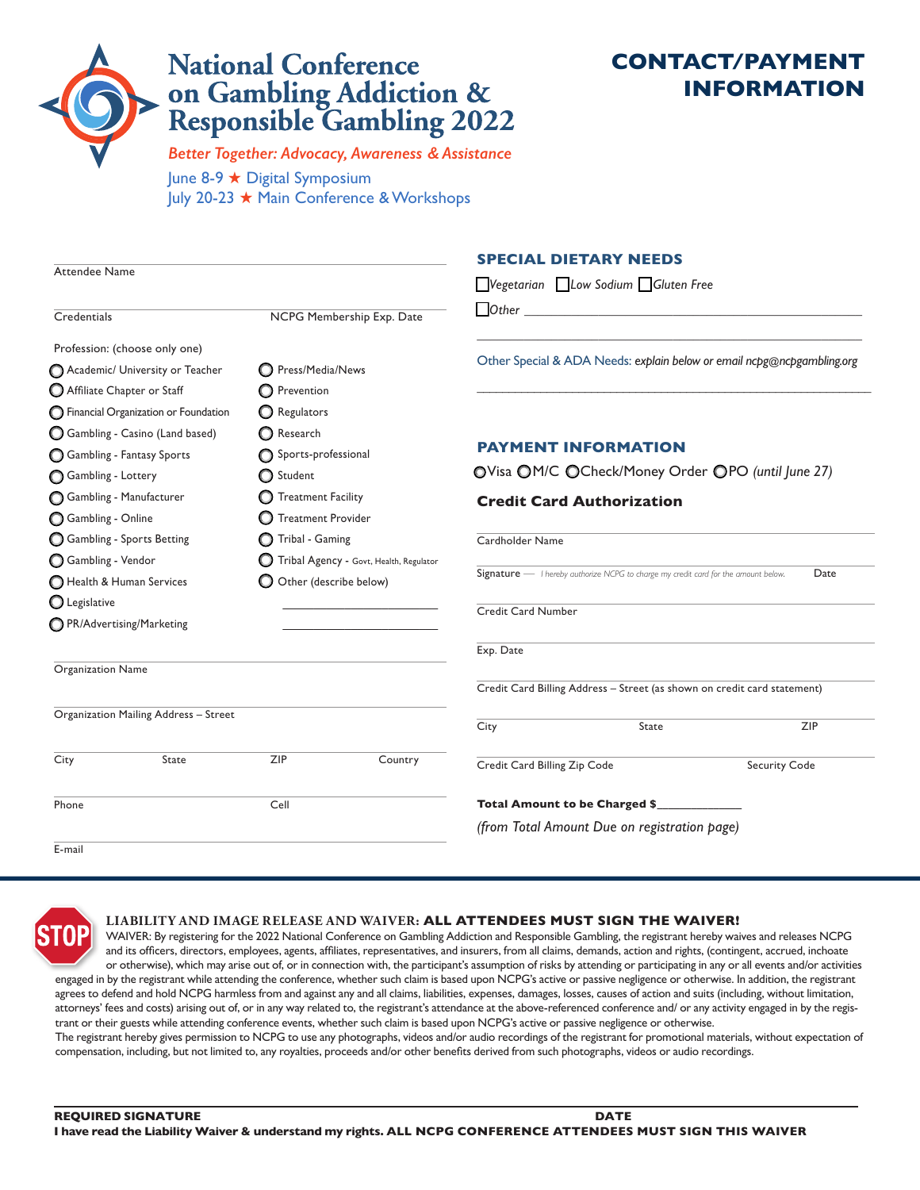# **National Conference** on Gambling Addiction &<br>Responsible Gambling 2022

# **CONTACT/PAYMENT INFORMATION**

June 8-9 ★ Digital Symposium July 20-23 ★ Main Conference & Workshops *Better Together: Advocacy, Awareness & Assistance*

|                                               |                                         | <b>SPECIAL DIETARY NEEDS</b>                                                               |                      |  |  |
|-----------------------------------------------|-----------------------------------------|--------------------------------------------------------------------------------------------|----------------------|--|--|
| <b>Attendee Name</b>                          |                                         | $\Box$ Vegetarian $\Box$ Low Sodium $\Box$ Gluten Free                                     |                      |  |  |
|                                               |                                         | $\Box$ Other $\Box$                                                                        |                      |  |  |
| Credentials                                   | NCPG Membership Exp. Date               |                                                                                            |                      |  |  |
| Profession: (choose only one)                 |                                         |                                                                                            |                      |  |  |
| Academic/ University or Teacher               | Press/Media/News                        | Other Special & ADA Needs: explain below or email ncpg@ncpgambling.org                     |                      |  |  |
| Affiliate Chapter or Staff                    | <b>O</b> Prevention                     |                                                                                            |                      |  |  |
| <b>O</b> Financial Organization or Foundation | Regulators                              |                                                                                            |                      |  |  |
| Gambling - Casino (Land based)                | Research                                |                                                                                            |                      |  |  |
| Gambling - Fantasy Sports                     | Sports-professional                     | <b>PAYMENT INFORMATION</b>                                                                 |                      |  |  |
| Gambling - Lottery                            | Student                                 | OVisa OM/C OCheck/Money Order OPO (until June 27)                                          |                      |  |  |
| Gambling - Manufacturer                       | <b>Treatment Facility</b>               | <b>Credit Card Authorization</b>                                                           |                      |  |  |
| Gambling - Online                             | <b>Treatment Provider</b>               |                                                                                            |                      |  |  |
| Gambling - Sports Betting                     | Tribal - Gaming                         | Cardholder Name                                                                            |                      |  |  |
| Gambling - Vendor                             | Tribal Agency - Govt, Health, Regulator |                                                                                            |                      |  |  |
| Health & Human Services                       | Other (describe below)                  | Signature - I hereby authorize NCPG to charge my credit card for the amount below.<br>Date |                      |  |  |
| C Legislative                                 |                                         | <b>Credit Card Number</b>                                                                  |                      |  |  |
| ◯ PR/Advertising/Marketing                    |                                         |                                                                                            |                      |  |  |
|                                               |                                         | Exp. Date                                                                                  |                      |  |  |
| <b>Organization Name</b>                      |                                         |                                                                                            |                      |  |  |
|                                               |                                         | Credit Card Billing Address - Street (as shown on credit card statement)                   |                      |  |  |
| Organization Mailing Address - Street         |                                         | City<br>State                                                                              | <b>ZIP</b>           |  |  |
| State<br>City                                 | ZIP<br>Country                          | Credit Card Billing Zip Code                                                               | <b>Security Code</b> |  |  |
|                                               |                                         |                                                                                            |                      |  |  |
| Cell<br>Phone                                 |                                         | Total Amount to be Charged \$                                                              |                      |  |  |
|                                               |                                         | (from Total Amount Due on registration page)                                               |                      |  |  |
| E-mail                                        |                                         |                                                                                            |                      |  |  |



### **LIABILITY AND IMAGE RELEASE AND WAIVER: ALL ATTENDEES MUST SIGN THE WAIVER!**

WAIVER: By registering for the 2022 National Conference on Gambling Addiction and Responsible Gambling, the registrant hereby waives and releases NCPG and its officers, directors, employees, agents, affiliates, representatives, and insurers, from all claims, demands, action and rights, (contingent, accrued, inchoate or otherwise), which may arise out of, or in connection with, the participant's assumption of risks by attending or participating in any or all events and/or activities engaged in by the registrant while attending the conference, whether such claim is based upon NCPG's active or passive negligence or otherwise. In addition, the registrant

agrees to defend and hold NCPG harmless from and against any and all claims, liabilities, expenses, damages, losses, causes of action and suits (including, without limitation, attorneys' fees and costs) arising out of, or in any way related to, the registrant's attendance at the above-referenced conference and/ or any activity engaged in by the registrant or their guests while attending conference events, whether such claim is based upon NCPG's active or passive negligence or otherwise. The registrant hereby gives permission to NCPG to use any photographs, videos and/or audio recordings of the registrant for promotional materials, without expectation of

compensation, including, but not limited to, any royalties, proceeds and/or other benefits derived from such photographs, videos or audio recordings.